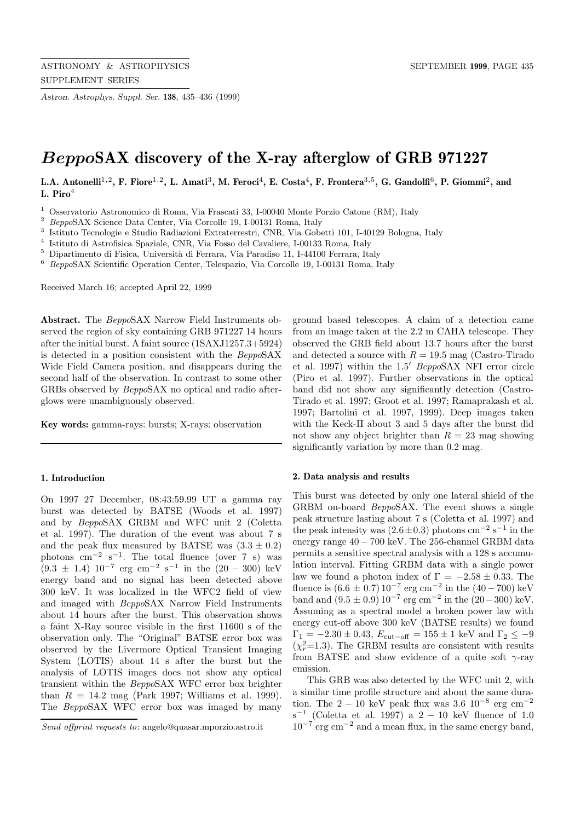*Astron. Astrophys. Suppl. Ser.* **138**, 435–436 (1999)

# *Beppo***SAX discovery of the X-ray afterglow of GRB 971227**

**L.A. Antonelli**<sup>1</sup>,<sup>2</sup>**, F. Fiore**<sup>1</sup>,<sup>2</sup>**, L. Amati**<sup>3</sup>**, M. Feroci**<sup>4</sup>**, E. Costa**<sup>4</sup>**, F. Frontera**<sup>3</sup>,<sup>5</sup>**, G. Gandolfi**<sup>6</sup>**, P. Giommi**<sup>2</sup>**, and L. Piro**<sup>4</sup>

<sup>1</sup> Osservatorio Astronomico di Roma, Via Frascati 33, I-00040 Monte Porzio Catone (RM), Italy

<sup>2</sup> BeppoSAX Science Data Center, Via Corcolle 19, I-00131 Roma, Italy

<sup>3</sup> Istituto Tecnologie e Studio Radiazioni Extraterrestri, CNR, Via Gobetti 101, I-40129 Bologna, Italy

<sup>4</sup> Istituto di Astrofisica Spaziale, CNR, Via Fosso del Cavaliere, I-00133 Roma, Italy

 $^5\,$  Dipartimento di Fisica, Università di Ferrara, Via Paradiso 11, I-44100 Ferrara, Italy

<sup>6</sup> BeppoSAX Scientific Operation Center, Telespazio, Via Corcolle 19, I-00131 Roma, Italy

Received March 16; accepted April 22, 1999

**Abstract.** The BeppoSAX Narrow Field Instruments observed the region of sky containing GRB 971227 14 hours after the initial burst. A faint source (1SAXJ1257.3+5924) is detected in a position consistent with the BeppoSAX Wide Field Camera position, and disappears during the second half of the observation. In contrast to some other GRBs observed by BeppoSAX no optical and radio afterglows were unambiguously observed.

**Key words:** gamma-rays: bursts; X-rays: observation

## **1. Introduction**

On 1997 27 December, 08:43:59.99 UT a gamma ray burst was detected by BATSE (Woods et al. 1997) and by BeppoSAX GRBM and WFC unit 2 (Coletta et al. 1997). The duration of the event was about 7 s and the peak flux measured by BATSE was  $(3.3 \pm 0.2)$ photons cm<sup>-2</sup> s<sup>-1</sup>. The total fluence (over 7 s) was  $(9.3 \pm 1.4)$  10<sup>-7</sup> erg cm<sup>-2</sup> s<sup>-1</sup> in the  $(20 - 300)$  keV energy band and no signal has been detected above 300 keV. It was localized in the WFC2 field of view and imaged with BeppoSAX Narrow Field Instruments about 14 hours after the burst. This observation shows a faint X-Ray source visible in the first 11600 s of the observation only. The "Original" BATSE error box was observed by the Livermore Optical Transient Imaging System (LOTIS) about 14 s after the burst but the analysis of LOTIS images does not show any optical transient within the BeppoSAX WFC error box brighter than  $R = 14.2$  mag (Park 1997; Williams et al. 1999). The BeppoSAX WFC error box was imaged by many

ground based telescopes. A claim of a detection came from an image taken at the 2.2 m CAHA telescope. They observed the GRB field about 13.7 hours after the burst and detected a source with  $R = 19.5$  mag (Castro-Tirado) et al. 1997) within the 1.5' BeppoSAX NFI error circle (Piro et al. 1997). Further observations in the optical band did not show any significantly detection (Castro-Tirado et al. 1997; Groot et al. 1997; Ramaprakash et al. 1997; Bartolini et al. 1997, 1999). Deep images taken with the Keck-II about 3 and 5 days after the burst did not show any object brighter than  $R = 23$  mag showing significantly variation by more than 0.2 mag.

## **2. Data analysis and results**

This burst was detected by only one lateral shield of the GRBM on-board BeppoSAX. The event shows a single peak structure lasting about 7 s (Coletta et al. 1997) and the peak intensity was  $(2.6 \pm 0.3)$  photons cm<sup>-2</sup> s<sup>-1</sup> in the energy range 40 − 700 keV. The 256-channel GRBM data permits a sensitive spectral analysis with a 128 s accumulation interval. Fitting GRBM data with a single power law we found a photon index of  $\Gamma = -2.58 \pm 0.33$ . The fluence is  $(6.6 \pm 0.7) 10^{-7}$  erg cm<sup>-2</sup> in the  $(40 - 700)$  keV band and  $(9.5 \pm 0.9) 10^{-7}$  erg cm<sup>-2</sup> in the  $(20-300)$  keV. Assuming as a spectral model a broken power law with energy cut-off above 300 keV (BATSE results) we found  $\Gamma_1 = -2.30 \pm 0.43$ ,  $E_{\text{cut-off}} = 155 \pm 1 \text{ keV}$  and  $\Gamma_2 \leq -9$  $(\chi_r^2=1.3)$ . The GRBM results are consistent with results from BATSE and show evidence of a quite soft  $\gamma$ -ray emission.

This GRB was also detected by the WFC unit 2, with a similar time profile structure and about the same duration. The 2 − 10 keV peak flux was 3.6 10<sup>-8</sup> erg cm<sup>-2</sup> s<sup>-1</sup> (Coletta et al. 1997) a 2 − 10 keV fluence of 1.0  $10^{-7}$  erg cm<sup>-2</sup> and a mean flux, in the same energy band,

Send offprint requests to: angelo@quasar.mporzio.astro.it